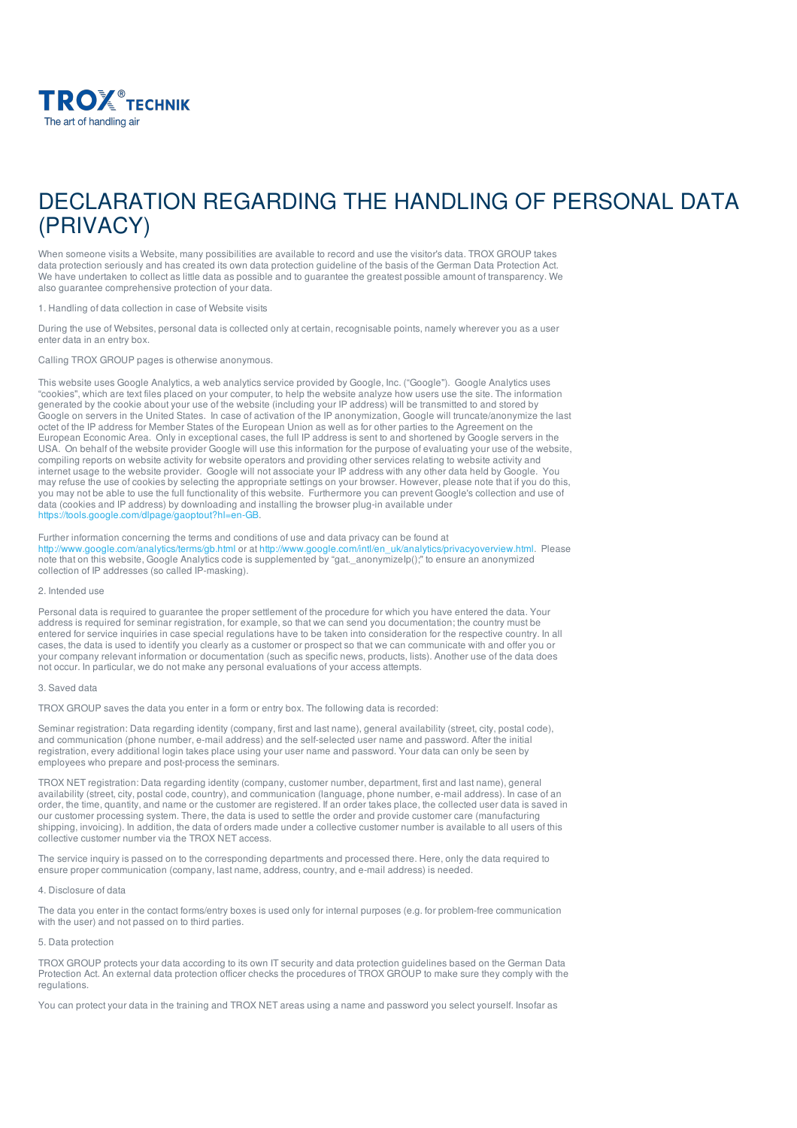

# DECLARATION REGARDING THE HANDLING OF PERSONAL DATA (PRIVACY)

When someone visits a Website, many possibilities are available to record and use the visitor's data. TROX GROUP takes data protection seriously and has created its own data protection guideline of the basis of the German Data Protection Act. We have undertaken to collect as little data as possible and to guarantee the greatest possible amount of transparency. We also guarantee comprehensive protection of your data.

1. Handling of data collection in case of Website visits

During the use of Websites, personal data is collected only at certain, recognisable points, namely wherever you as a user enter data in an entry box.

Calling TROX GROUP pages is otherwise anonymous.

This website uses Google Analytics, a web analytics service provided by Google, Inc. ("Google"). Google Analytics uses "cookies", which are text files placed on your computer, to help the website analyze how users use the site. The information generated by the cookie about your use of the website (including your IP address) will be transmitted to and stored by Google on servers in the United States. In case of activation of the IP anonymization, Google will truncate/anonymize the last octet of the IP address for Member States of the European Union as well as for other parties to the Agreement on the European Economic Area. Only in exceptional cases, the full IP address is sent to and shortened by Google servers in the USA. On behalf of the website provider Google will use this information for the purpose of evaluating your use of the website, compiling reports on website activity for website operators and providing other services relating to website activity and internet usage to the website provider. Google will not associate your IP address with any other data held by Google. You may refuse the use of cookies by selecting the appropriate settings on your browser. However, please note that if you do this, you may not be able to use the full functionality of this website. Furthermore you can prevent Google's collection and use of data (cookies and IP address) by downloading and installing the browser plug-in available under <https://tools.google.com/dlpage/gaoptout?hl=en-GB>.

Further information concerning the terms and conditions of use and data privacy can be found at <http://www.google.com/analytics/terms/gb.html> or at [http://www.google.com/intl/en\\_uk/analytics/privacyoverview.html](http://www.google.com/intl/en_uk/analytics/privacyoverview.html). Please note that on this website, Google Analytics code is supplemented by "gat.\_anonymizeIp();" to ensure an anonymized collection of IP addresses (so called IP-masking).

## 2. Intended use

Personal data is required to guarantee the proper settlement of the procedure for which you have entered the data. Your address is required for seminar registration, for example, so that we can send you documentation; the country must be entered for service inquiries in case special regulations have to be taken into consideration for the respective country. In all cases, the data is used to identify you clearly as a customer or prospect so that we can communicate with and offer you or your company relevant information or documentation (such as specific news, products, lists). Another use of the data does not occur. In particular, we do not make any personal evaluations of your access attempts.

## 3. Saved data

TROX GROUP saves the data you enter in a form or entry box. The following data is recorded:

Seminar registration: Data regarding identity (company, first and last name), general availability (street, city, postal code), and communication (phone number, e-mail address) and the self-selected user name and password. After the initial registration, every additional login takes place using your user name and password. Your data can only be seen by employees who prepare and post-process the seminars.

TROX NET registration: Data regarding identity (company, customer number, department, first and last name), general availability (street, city, postal code, country), and communication (language, phone number, e-mail address). In case of an order, the time, quantity, and name or the customer are registered. If an order takes place, the collected user data is saved in our customer processing system. There, the data is used to settle the order and provide customer care (manufacturing shipping, invoicing). In addition, the data of orders made under a collective customer number is available to all users of this collective customer number via the TROX NET access.

The service inquiry is passed on to the corresponding departments and processed there. Here, only the data required to ensure proper communication (company, last name, address, country, and e-mail address) is needed.

#### 4. Disclosure of data

The data you enter in the contact forms/entry boxes is used only for internal purposes (e.g. for problem-free communication with the user) and not passed on to third parties.

# 5. Data protection

TROX GROUP protects your data according to its own IT security and data protection guidelines based on the German Data Protection Act. An external data protection officer checks the procedures of TROX GROUP to make sure they comply with the regulations.

You can protect your data in the training and TROX NET areas using a name and password you select yourself. Insofar as